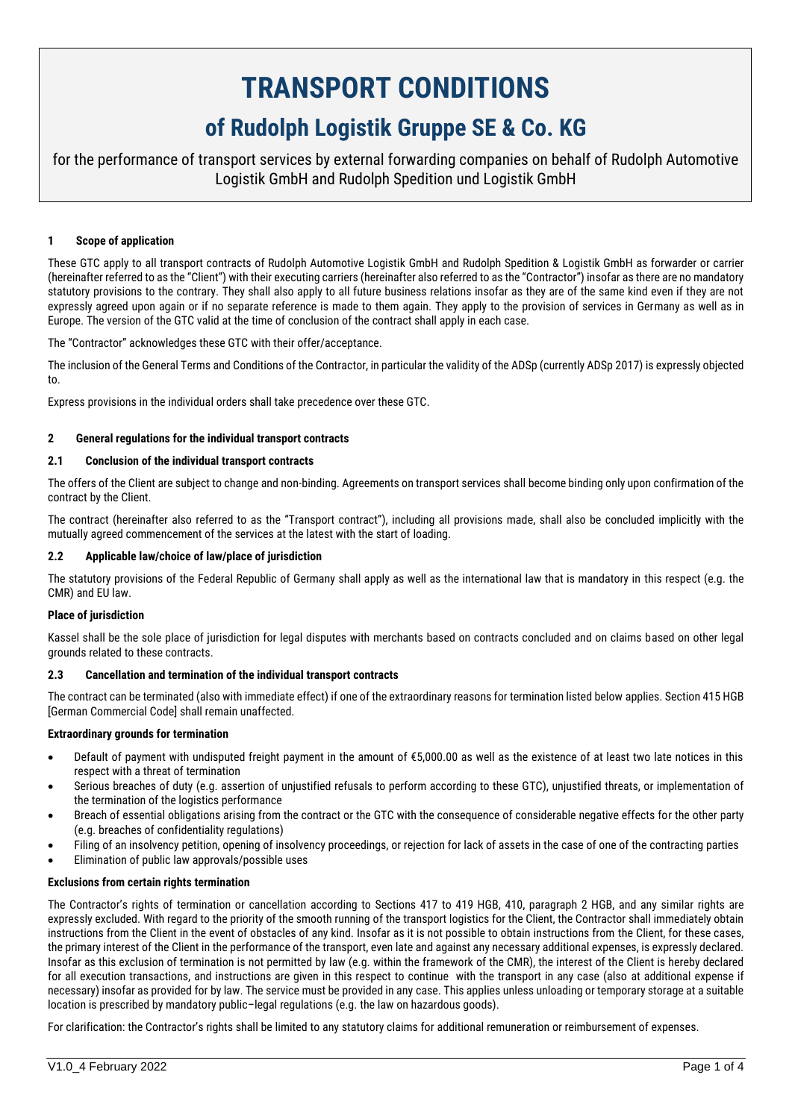# **TRANSPORT CONDITIONS of Rudolph Logistik Gruppe SE & Co. KG**

for the performance of transport services by external forwarding companies on behalf of Rudolph Automotive Logistik GmbH and Rudolph Spedition und Logistik GmbH

# **1 Scope of application**

These GTC apply to all transport contracts of Rudolph Automotive Logistik GmbH and Rudolph Spedition & Logistik GmbH as forwarder or carrier (hereinafter referred to as the "Client") with their executing carriers (hereinafter also referred to as the "Contractor") insofar as there are no mandatory statutory provisions to the contrary. They shall also apply to all future business relations insofar as they are of the same kind even if they are not expressly agreed upon again or if no separate reference is made to them again. They apply to the provision of services in Germany as well as in Europe. The version of the GTC valid at the time of conclusion of the contract shall apply in each case.

The "Contractor" acknowledges these GTC with their offer/acceptance.

The inclusion of the General Terms and Conditions of the Contractor, in particular the validity of the ADSp (currently ADSp 2017) is expressly objected to.

Express provisions in the individual orders shall take precedence over these GTC.

#### **2 General regulations for the individual transport contracts**

# **2.1 Conclusion of the individual transport contracts**

The offers of the Client are subject to change and non-binding. Agreements on transport services shall become binding only upon confirmation of the contract by the Client.

The contract (hereinafter also referred to as the "Transport contract"), including all provisions made, shall also be concluded implicitly with the mutually agreed commencement of the services at the latest with the start of loading.

#### **2.2 Applicable law/choice of law/place of jurisdiction**

The statutory provisions of the Federal Republic of Germany shall apply as well as the international law that is mandatory in this respect (e.g. the CMR) and EU law.

#### **Place of jurisdiction**

Kassel shall be the sole place of jurisdiction for legal disputes with merchants based on contracts concluded and on claims based on other legal grounds related to these contracts.

#### **2.3 Cancellation and termination of the individual transport contracts**

The contract can be terminated (also with immediate effect) if one of the extraordinary reasons for termination listed below applies. Section 415 HGB [German Commercial Code] shall remain unaffected.

#### **Extraordinary grounds for termination**

- Default of payment with undisputed freight payment in the amount of €5,000.00 as well as the existence of at least two late notices in this respect with a threat of termination
- Serious breaches of duty (e.g. assertion of unjustified refusals to perform according to these GTC), unjustified threats, or implementation of the termination of the logistics performance
- Breach of essential obligations arising from the contract or the GTC with the consequence of considerable negative effects for the other party (e.g. breaches of confidentiality regulations)
- Filing of an insolvency petition, opening of insolvency proceedings, or rejection for lack of assets in the case of one of the contracting parties
- Elimination of public law approvals/possible uses

#### **Exclusions from certain rights termination**

The Contractor's rights of termination or cancellation according to Sections 417 to 419 HGB, 410, paragraph 2 HGB, and any similar rights are expressly excluded. With regard to the priority of the smooth running of the transport logistics for the Client, the Contractor shall immediately obtain instructions from the Client in the event of obstacles of any kind. Insofar as it is not possible to obtain instructions from the Client, for these cases, the primary interest of the Client in the performance of the transport, even late and against any necessary additional expenses, is expressly declared. Insofar as this exclusion of termination is not permitted by law (e.g. within the framework of the CMR), the interest of the Client is hereby declared for all execution transactions, and instructions are given in this respect to continue with the transport in any case (also at additional expense if necessary) insofar as provided for by law. The service must be provided in any case. This applies unless unloading or temporary storage at a suitable location is prescribed by mandatory public–legal regulations (e.g. the law on hazardous goods).

For clarification: the Contractor's rights shall be limited to any statutory claims for additional remuneration or reimbursement of expenses.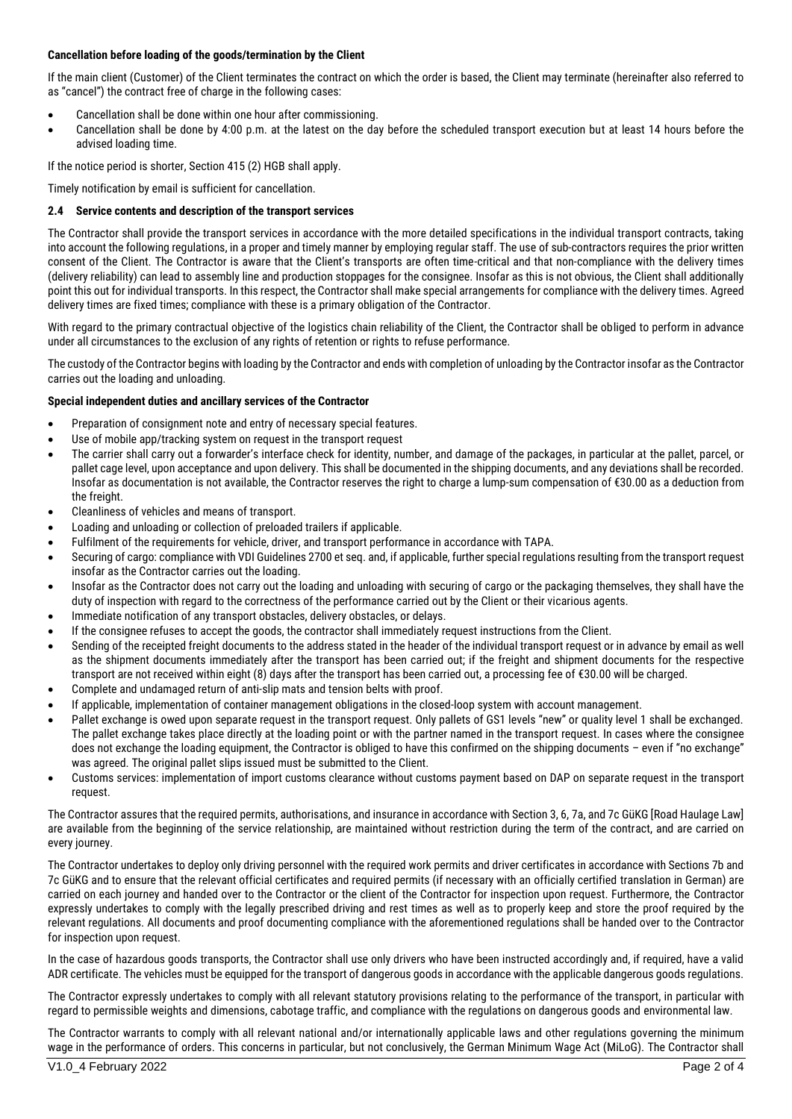# **Cancellation before loading of the goods/termination by the Client**

If the main client (Customer) of the Client terminates the contract on which the order is based, the Client may terminate (hereinafter also referred to as "cancel") the contract free of charge in the following cases:

- Cancellation shall be done within one hour after commissioning.
- Cancellation shall be done by 4:00 p.m. at the latest on the day before the scheduled transport execution but at least 14 hours before the advised loading time.

If the notice period is shorter, Section 415 (2) HGB shall apply.

Timely notification by email is sufficient for cancellation.

# **2.4 Service contents and description of the transport services**

The Contractor shall provide the transport services in accordance with the more detailed specifications in the individual transport contracts, taking into account the following regulations, in a proper and timely manner by employing regular staff. The use of sub-contractors requires the prior written consent of the Client. The Contractor is aware that the Client's transports are often time-critical and that non-compliance with the delivery times (delivery reliability) can lead to assembly line and production stoppages for the consignee. Insofar as this is not obvious, the Client shall additionally point this out for individual transports. In this respect, the Contractor shall make special arrangements for compliance with the delivery times. Agreed delivery times are fixed times; compliance with these is a primary obligation of the Contractor.

With regard to the primary contractual objective of the logistics chain reliability of the Client, the Contractor shall be obliged to perform in advance under all circumstances to the exclusion of any rights of retention or rights to refuse performance.

The custody of the Contractor begins with loading by the Contractor and ends with completion of unloading by the Contractor insofar as the Contractor carries out the loading and unloading.

# **Special independent duties and ancillary services of the Contractor**

- Preparation of consignment note and entry of necessary special features.
- Use of mobile app/tracking system on request in the transport request
- The carrier shall carry out a forwarder's interface check for identity, number, and damage of the packages, in particular at the pallet, parcel, or pallet cage level, upon acceptance and upon delivery. This shall be documented in the shipping documents, and any deviations shall be recorded. Insofar as documentation is not available, the Contractor reserves the right to charge a lump-sum compensation of €30.00 as a deduction from the freight
- Cleanliness of vehicles and means of transport.
- Loading and unloading or collection of preloaded trailers if applicable.
- Fulfilment of the requirements for vehicle, driver, and transport performance in accordance with TAPA.
- Securing of cargo: compliance with VDI Guidelines 2700 et seq. and, if applicable, further special regulations resulting from the transport request insofar as the Contractor carries out the loading.
- Insofar as the Contractor does not carry out the loading and unloading with securing of cargo or the packaging themselves, they shall have the duty of inspection with regard to the correctness of the performance carried out by the Client or their vicarious agents.
- Immediate notification of any transport obstacles, delivery obstacles, or delays.
- If the consignee refuses to accept the goods, the contractor shall immediately request instructions from the Client.
- Sending of the receipted freight documents to the address stated in the header of the individual transport request or in advance by email as well as the shipment documents immediately after the transport has been carried out; if the freight and shipment documents for the respective transport are not received within eight (8) days after the transport has been carried out, a processing fee of €30.00 will be charged.
- Complete and undamaged return of anti-slip mats and tension belts with proof.
- If applicable, implementation of container management obligations in the closed-loop system with account management.
- Pallet exchange is owed upon separate request in the transport request. Only pallets of GS1 levels "new" or quality level 1 shall be exchanged. The pallet exchange takes place directly at the loading point or with the partner named in the transport request. In cases where the consignee does not exchange the loading equipment, the Contractor is obliged to have this confirmed on the shipping documents – even if "no exchange" was agreed. The original pallet slips issued must be submitted to the Client.
- Customs services: implementation of import customs clearance without customs payment based on DAP on separate request in the transport request.

The Contractor assures that the required permits, authorisations, and insurance in accordance with Section 3, 6, 7a, and 7c GüKG [Road Haulage Law] are available from the beginning of the service relationship, are maintained without restriction during the term of the contract, and are carried on every journey.

The Contractor undertakes to deploy only driving personnel with the required work permits and driver certificates in accordance with Sections 7b and 7c GüKG and to ensure that the relevant official certificates and required permits (if necessary with an officially certified translation in German) are carried on each journey and handed over to the Contractor or the client of the Contractor for inspection upon request. Furthermore, the Contractor expressly undertakes to comply with the legally prescribed driving and rest times as well as to properly keep and store the proof required by the relevant regulations. All documents and proof documenting compliance with the aforementioned regulations shall be handed over to the Contractor for inspection upon request.

In the case of hazardous goods transports, the Contractor shall use only drivers who have been instructed accordingly and, if required, have a valid ADR certificate. The vehicles must be equipped for the transport of dangerous goods in accordance with the applicable dangerous goods regulations.

The Contractor expressly undertakes to comply with all relevant statutory provisions relating to the performance of the transport, in particular with regard to permissible weights and dimensions, cabotage traffic, and compliance with the regulations on dangerous goods and environmental law.

The Contractor warrants to comply with all relevant national and/or internationally applicable laws and other regulations governing the minimum wage in the performance of orders. This concerns in particular, but not conclusively, the German Minimum Wage Act (MiLoG). The Contractor shall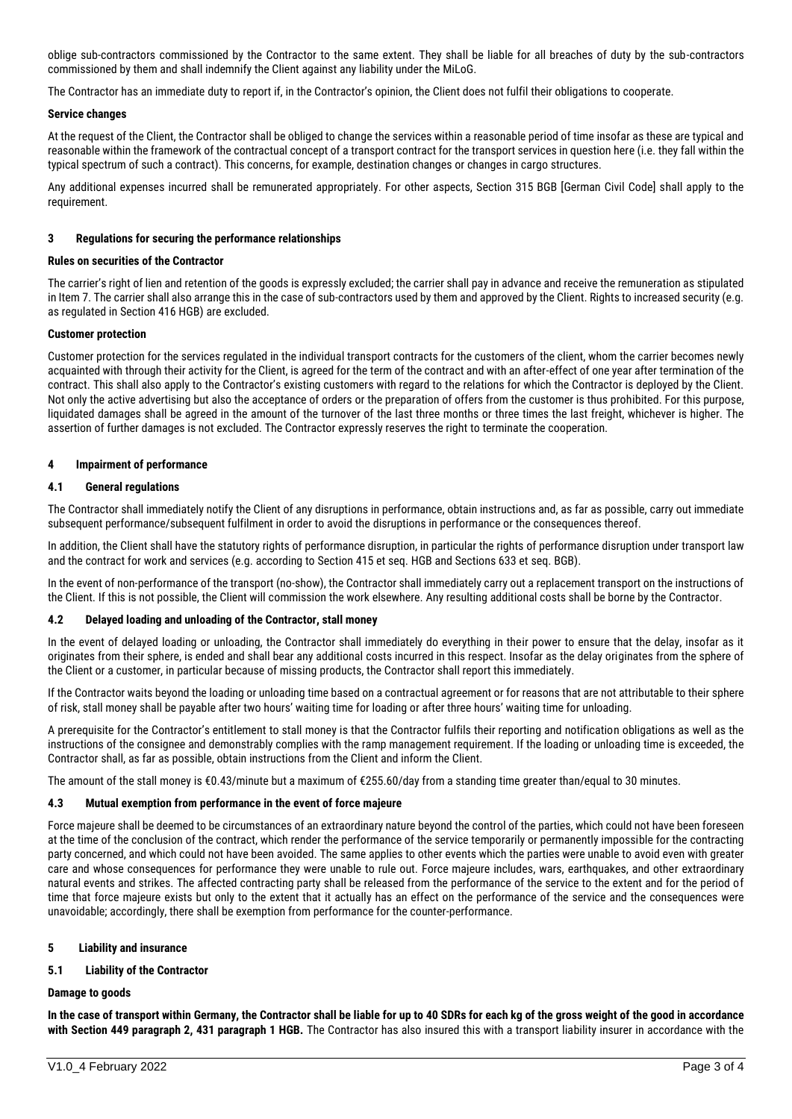oblige sub-contractors commissioned by the Contractor to the same extent. They shall be liable for all breaches of duty by the sub-contractors commissioned by them and shall indemnify the Client against any liability under the MiLoG.

The Contractor has an immediate duty to report if, in the Contractor's opinion, the Client does not fulfil their obligations to cooperate.

## **Service changes**

At the request of the Client, the Contractor shall be obliged to change the services within a reasonable period of time insofar as these are typical and reasonable within the framework of the contractual concept of a transport contract for the transport services in question here (i.e. they fall within the typical spectrum of such a contract). This concerns, for example, destination changes or changes in cargo structures.

Any additional expenses incurred shall be remunerated appropriately. For other aspects, Section 315 BGB [German Civil Code] shall apply to the requirement.

#### **3 Regulations for securing the performance relationships**

#### **Rules on securities of the Contractor**

The carrier's right of lien and retention of the goods is expressly excluded; the carrier shall pay in advance and receive the remuneration as stipulated in Item 7. The carrier shall also arrange this in the case of sub-contractors used by them and approved by the Client. Rights to increased security (e.g. as regulated in Section 416 HGB) are excluded.

## **Customer protection**

Customer protection for the services regulated in the individual transport contracts for the customers of the client, whom the carrier becomes newly acquainted with through their activity for the Client, is agreed for the term of the contract and with an after-effect of one year after termination of the contract. This shall also apply to the Contractor's existing customers with regard to the relations for which the Contractor is deployed by the Client. Not only the active advertising but also the acceptance of orders or the preparation of offers from the customer is thus prohibited. For this purpose, liquidated damages shall be agreed in the amount of the turnover of the last three months or three times the last freight, whichever is higher. The assertion of further damages is not excluded. The Contractor expressly reserves the right to terminate the cooperation.

## **4 Impairment of performance**

## **4.1 General regulations**

The Contractor shall immediately notify the Client of any disruptions in performance, obtain instructions and, as far as possible, carry out immediate subsequent performance/subsequent fulfilment in order to avoid the disruptions in performance or the consequences thereof.

In addition, the Client shall have the statutory rights of performance disruption, in particular the rights of performance disruption under transport law and the contract for work and services (e.g. according to Section 415 et seq. HGB and Sections 633 et seq. BGB).

In the event of non-performance of the transport (no-show), the Contractor shall immediately carry out a replacement transport on the instructions of the Client. If this is not possible, the Client will commission the work elsewhere. Any resulting additional costs shall be borne by the Contractor.

#### **4.2 Delayed loading and unloading of the Contractor, stall money**

In the event of delayed loading or unloading, the Contractor shall immediately do everything in their power to ensure that the delay, insofar as it originates from their sphere, is ended and shall bear any additional costs incurred in this respect. Insofar as the delay originates from the sphere of the Client or a customer, in particular because of missing products, the Contractor shall report this immediately.

If the Contractor waits beyond the loading or unloading time based on a contractual agreement or for reasons that are not attributable to their sphere of risk, stall money shall be payable after two hours' waiting time for loading or after three hours' waiting time for unloading.

A prerequisite for the Contractor's entitlement to stall money is that the Contractor fulfils their reporting and notification obligations as well as the instructions of the consignee and demonstrably complies with the ramp management requirement. If the loading or unloading time is exceeded, the Contractor shall, as far as possible, obtain instructions from the Client and inform the Client.

The amount of the stall money is €0.43/minute but a maximum of €255.60/day from a standing time greater than/equal to 30 minutes.

#### **4.3 Mutual exemption from performance in the event of force majeure**

Force majeure shall be deemed to be circumstances of an extraordinary nature beyond the control of the parties, which could not have been foreseen at the time of the conclusion of the contract, which render the performance of the service temporarily or permanently impossible for the contracting party concerned, and which could not have been avoided. The same applies to other events which the parties were unable to avoid even with greater care and whose consequences for performance they were unable to rule out. Force majeure includes, wars, earthquakes, and other extraordinary natural events and strikes. The affected contracting party shall be released from the performance of the service to the extent and for the period of time that force majeure exists but only to the extent that it actually has an effect on the performance of the service and the consequences were unavoidable; accordingly, there shall be exemption from performance for the counter-performance.

#### **5 Liability and insurance**

# **5.1 Liability of the Contractor**

#### **Damage to goods**

**In the case of transport within Germany, the Contractor shall be liable for up to 40 SDRs for each kg of the gross weight of the good in accordance with Section 449 paragraph 2, 431 paragraph 1 HGB.** The Contractor has also insured this with a transport liability insurer in accordance with the